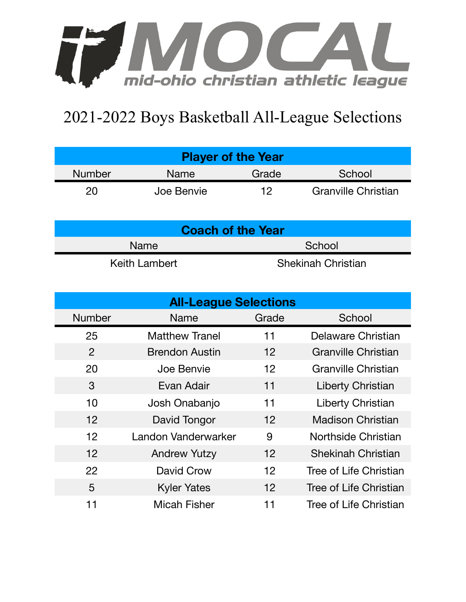

## 2021-2022 Boys Basketball All-League Selections

| <b>Player of the Year</b> |            |       |                            |  |  |  |
|---------------------------|------------|-------|----------------------------|--|--|--|
| <b>Number</b>             | Name       | Grade | School                     |  |  |  |
| 20                        | Joe Benvie | 12    | <b>Granville Christian</b> |  |  |  |

| <b>Coach of the Year</b> |                           |  |  |  |
|--------------------------|---------------------------|--|--|--|
| <b>Name</b>              | School                    |  |  |  |
| Keith Lambert            | <b>Shekinah Christian</b> |  |  |  |

| <b>All-League Selections</b> |                       |                   |                           |  |  |  |
|------------------------------|-----------------------|-------------------|---------------------------|--|--|--|
| <b>Number</b>                | <b>Name</b>           | Grade             | School                    |  |  |  |
| 25                           | <b>Matthew Tranel</b> | 11                | Delaware Christian        |  |  |  |
| 2                            | <b>Brendon Austin</b> | $12 \overline{ }$ | Granville Christian       |  |  |  |
| 20                           | Joe Benvie            | 12                | Granville Christian       |  |  |  |
| 3                            | Evan Adair            | 11                | Liberty Christian         |  |  |  |
| 10                           | Josh Onabanjo         | 11                | <b>Liberty Christian</b>  |  |  |  |
| 12                           | David Tongor          | 12                | <b>Madison Christian</b>  |  |  |  |
| 12                           | Landon Vanderwarker   | 9                 | Northside Christian       |  |  |  |
| 12                           | <b>Andrew Yutzy</b>   | 12                | <b>Shekinah Christian</b> |  |  |  |
| 22                           | David Crow            | 12                | Tree of Life Christian    |  |  |  |
| 5                            | <b>Kyler Yates</b>    | 12                | Tree of Life Christian    |  |  |  |
| 11                           | Micah Fisher          | 11                | Tree of Life Christian    |  |  |  |